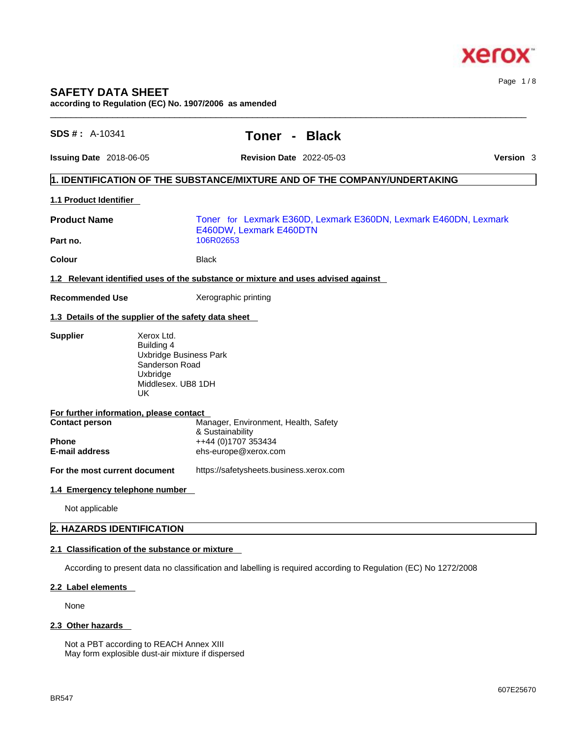

# **SAFETY DATA SHEET**

**according to Regulation (EC) No. 1907/2006 as amended** 

| SDS #: A-10341                                                   |                                                                                                                      | Toner -                                                                                                         |  | <b>Black</b>                                                     |           |  |
|------------------------------------------------------------------|----------------------------------------------------------------------------------------------------------------------|-----------------------------------------------------------------------------------------------------------------|--|------------------------------------------------------------------|-----------|--|
| <b>Issuing Date 2018-06-05</b>                                   |                                                                                                                      |                                                                                                                 |  | <b>Revision Date</b> 2022-05-03                                  | Version 3 |  |
|                                                                  |                                                                                                                      | 1. IDENTIFICATION OF THE SUBSTANCE/MIXTURE AND OF THE COMPANY/UNDERTAKING                                       |  |                                                                  |           |  |
| 1.1 Product Identifier                                           |                                                                                                                      |                                                                                                                 |  |                                                                  |           |  |
| <b>Product Name</b>                                              |                                                                                                                      | E460DW, Lexmark E460DTN                                                                                         |  | Toner for Lexmark E360D, Lexmark E360DN, Lexmark E460DN, Lexmark |           |  |
| Part no.<br>Colour                                               |                                                                                                                      | 106R02653<br><b>Black</b>                                                                                       |  |                                                                  |           |  |
|                                                                  |                                                                                                                      | 1.2 Relevant identified uses of the substance or mixture and uses advised against                               |  |                                                                  |           |  |
| <b>Recommended Use</b>                                           |                                                                                                                      | Xerographic printing                                                                                            |  |                                                                  |           |  |
| 1.3 Details of the supplier of the safety data sheet             |                                                                                                                      |                                                                                                                 |  |                                                                  |           |  |
| <b>Supplier</b>                                                  | Xerox Ltd.<br>Building 4<br><b>Uxbridge Business Park</b><br>Sanderson Road<br>Uxbridge<br>Middlesex, UB8 1DH<br>UK. |                                                                                                                 |  |                                                                  |           |  |
| For further information, please contact<br><b>Contact person</b> |                                                                                                                      | Manager, Environment, Health, Safety                                                                            |  |                                                                  |           |  |
| Phone<br>E-mail address                                          |                                                                                                                      | & Sustainability<br>++44 (0)1707 353434<br>ehs-europe@xerox.com                                                 |  |                                                                  |           |  |
| For the most current document                                    |                                                                                                                      | https://safetysheets.business.xerox.com                                                                         |  |                                                                  |           |  |
| 1.4 Emergency telephone number                                   |                                                                                                                      |                                                                                                                 |  |                                                                  |           |  |
| Not applicable                                                   |                                                                                                                      |                                                                                                                 |  |                                                                  |           |  |
| 2. HAZARDS IDENTIFICATION                                        |                                                                                                                      |                                                                                                                 |  |                                                                  |           |  |
| 2.1 Classification of the substance or mixture                   |                                                                                                                      |                                                                                                                 |  |                                                                  |           |  |
|                                                                  |                                                                                                                      | According to present data no classification and labelling is required according to Regulation (EC) No 1272/2008 |  |                                                                  |           |  |

 $\_$  ,  $\_$  ,  $\_$  ,  $\_$  ,  $\_$  ,  $\_$  ,  $\_$  ,  $\_$  ,  $\_$  ,  $\_$  ,  $\_$  ,  $\_$  ,  $\_$  ,  $\_$  ,  $\_$  ,  $\_$  ,  $\_$  ,  $\_$  ,  $\_$  ,  $\_$  ,  $\_$  ,  $\_$  ,  $\_$  ,  $\_$  ,  $\_$  ,  $\_$  ,  $\_$  ,  $\_$  ,  $\_$  ,  $\_$  ,  $\_$  ,  $\_$  ,  $\_$  ,  $\_$  ,  $\_$  ,  $\_$  ,  $\_$  ,

# **2.2 Label elements**

None

# **2.3 Other hazards**

Not a PBT according to REACH Annex XIII May form explosible dust-air mixture if dispersed Page 1 / 8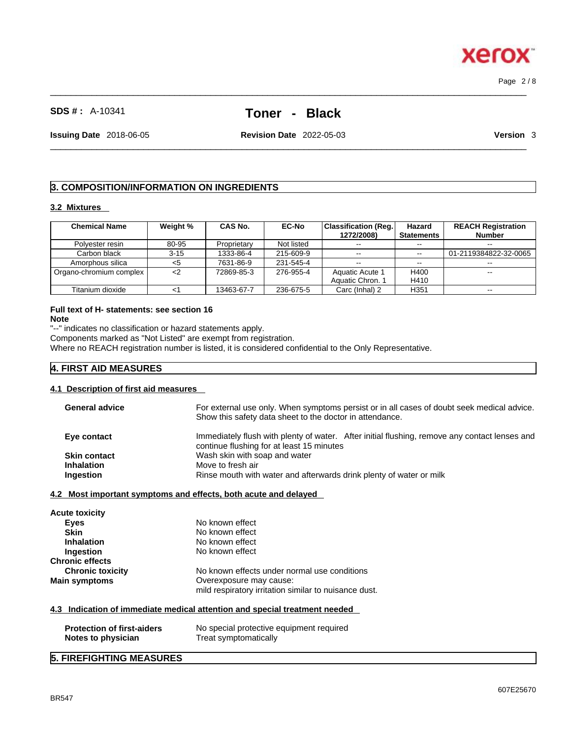# **SDS # :** A-10341 **Toner - Black**

 $\_$  ,  $\_$  ,  $\_$  ,  $\_$  ,  $\_$  ,  $\_$  ,  $\_$  ,  $\_$  ,  $\_$  ,  $\_$  ,  $\_$  ,  $\_$  ,  $\_$  ,  $\_$  ,  $\_$  ,  $\_$  ,  $\_$  ,  $\_$  ,  $\_$  ,  $\_$  ,  $\_$  ,  $\_$  ,  $\_$  ,  $\_$  ,  $\_$  ,  $\_$  ,  $\_$  ,  $\_$  ,  $\_$  ,  $\_$  ,  $\_$  ,  $\_$  ,  $\_$  ,  $\_$  ,  $\_$  ,  $\_$  ,  $\_$  ,

 $\_$  ,  $\_$  ,  $\_$  ,  $\_$  ,  $\_$  ,  $\_$  ,  $\_$  ,  $\_$  ,  $\_$  ,  $\_$  ,  $\_$  ,  $\_$  ,  $\_$  ,  $\_$  ,  $\_$  ,  $\_$  ,  $\_$  ,  $\_$  ,  $\_$  ,  $\_$  ,  $\_$  ,  $\_$  ,  $\_$  ,  $\_$  ,  $\_$  ,  $\_$  ,  $\_$  ,  $\_$  ,  $\_$  ,  $\_$  ,  $\_$  ,  $\_$  ,  $\_$  ,  $\_$  ,  $\_$  ,  $\_$  ,  $\_$  ,

**Issuing Date** 2018-06-05 **Revision Date** 2022-05-03 **Version** 3

**3. COMPOSITION/INFORMATION ON INGREDIENTS**

# **3.2 Mixtures**

| <b>Chemical Name</b>    | Weight % | <b>CAS No.</b> | <b>EC-No</b> | <b>Classification (Reg.</b> | Hazard            | <b>REACH Registration</b> |
|-------------------------|----------|----------------|--------------|-----------------------------|-------------------|---------------------------|
|                         |          |                |              | 1272/2008)                  | <b>Statements</b> | <b>Number</b>             |
| Polvester resin         | 80-95    | Proprietary    | Not listed   | $- -$                       |                   | $- -$                     |
| Carbon black            | $3 - 15$ | 1333-86-4      | 215-609-9    | $- -$                       | $\sim$            | 01-2119384822-32-0065     |
| Amorphous silica        | <5       | 7631-86-9      | 231-545-4    | $- -$                       | $\sim$ $\sim$     |                           |
| Organo-chromium complex | <2       | 72869-85-3     | 276-955-4    | Aquatic Acute 1             | H400              |                           |
|                         |          |                |              | Aquatic Chron. 1            | H410              |                           |
| Titanium dioxide        |          | 13463-67-7     | 236-675-5    | Carc (Inhal) 2              | H <sub>351</sub>  |                           |

# **Full text of H- statements: see section 16**

**Note**

"--" indicates no classification or hazard statements apply.

Components marked as "Not Listed" are exempt from registration.

Where no REACH registration number is listed, it is considered confidential to the Only Representative.

# **4. FIRST AID MEASURES**

# **4.1 Description of first aid measures**

| <b>General advice</b> | For external use only. When symptoms persist or in all cases of doubt seek medical advice.<br>Show this safety data sheet to the doctor in attendance. |
|-----------------------|--------------------------------------------------------------------------------------------------------------------------------------------------------|
| Eye contact           | Immediately flush with plenty of water. After initial flushing, remove any contact lenses and<br>continue flushing for at least 15 minutes             |
| <b>Skin contact</b>   | Wash skin with soap and water                                                                                                                          |
| <b>Inhalation</b>     | Move to fresh air                                                                                                                                      |
| <b>Ingestion</b>      | Rinse mouth with water and afterwards drink plenty of water or milk                                                                                    |

mild respiratory irritation similar to nuisance dust.

| <b>Acute toxicity</b>   |                                              |
|-------------------------|----------------------------------------------|
| Eyes                    | No known effect                              |
| <b>Skin</b>             | No known effect                              |
| <b>Inhalation</b>       | No known effect                              |
| <b>Ingestion</b>        | No known effect                              |
| <b>Chronic effects</b>  |                                              |
| <b>Chronic toxicity</b> | No known effects under normal use conditions |
| <b>Main symptoms</b>    | Overexposure may cause:                      |

**4.3 Indication of immediate medical attention and special treatment needed**

| <b>Protection of first-aiders</b> | No special protective equipment required |
|-----------------------------------|------------------------------------------|
| Notes to physician                | Treat symptomatically                    |

# **5. FIREFIGHTING MEASURES**



Page 2 / 8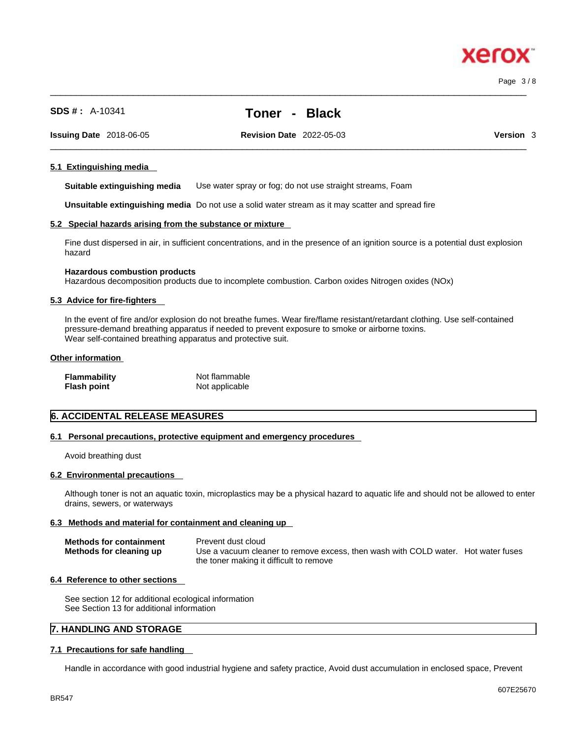Page 3 / 8

xero

**SDS # :** A-10341 **Toner - Black**

 $\_$  ,  $\_$  ,  $\_$  ,  $\_$  ,  $\_$  ,  $\_$  ,  $\_$  ,  $\_$  ,  $\_$  ,  $\_$  ,  $\_$  ,  $\_$  ,  $\_$  ,  $\_$  ,  $\_$  ,  $\_$  ,  $\_$  ,  $\_$  ,  $\_$  ,  $\_$  ,  $\_$  ,  $\_$  ,  $\_$  ,  $\_$  ,  $\_$  ,  $\_$  ,  $\_$  ,  $\_$  ,  $\_$  ,  $\_$  ,  $\_$  ,  $\_$  ,  $\_$  ,  $\_$  ,  $\_$  ,  $\_$  ,  $\_$  ,

**Issuing Date** 2018-06-05 **Revision Date** 2022-05-03 **Version** 3

 $\_$  ,  $\_$  ,  $\_$  ,  $\_$  ,  $\_$  ,  $\_$  ,  $\_$  ,  $\_$  ,  $\_$  ,  $\_$  ,  $\_$  ,  $\_$  ,  $\_$  ,  $\_$  ,  $\_$  ,  $\_$  ,  $\_$  ,  $\_$  ,  $\_$  ,  $\_$  ,  $\_$  ,  $\_$  ,  $\_$  ,  $\_$  ,  $\_$  ,  $\_$  ,  $\_$  ,  $\_$  ,  $\_$  ,  $\_$  ,  $\_$  ,  $\_$  ,  $\_$  ,  $\_$  ,  $\_$  ,  $\_$  ,  $\_$  ,

# **5.1 Extinguishing media**

**Suitable extinguishing media** Use water spray or fog; do not use straight streams, Foam

**Unsuitable extinguishing media** Do not use a solid water stream as it may scatterand spread fire

#### **5.2 Special hazards arising from the substance or mixture**

Fine dust dispersed in air, in sufficient concentrations, and in the presence of an ignition source is a potential dust explosion hazard

#### **Hazardous combustion products**

Hazardous decomposition products due to incomplete combustion. Carbon oxides Nitrogen oxides (NOx)

#### **5.3 Advice for fire-fighters**

In the event of fire and/or explosion do not breathe fumes. Wear fire/flame resistant/retardant clothing. Use self-contained pressure-demand breathing apparatus if needed to prevent exposure to smoke or airborne toxins. Wear self-contained breathing apparatus and protective suit.

#### **Other information**

| <b>Flammability</b> | Not flammable  |
|---------------------|----------------|
| <b>Flash point</b>  | Not applicable |

# **6. ACCIDENTAL RELEASE MEASURES**

#### **6.1 Personal precautions, protective equipment and emergency procedures**

Avoid breathing dust

#### **6.2 Environmental precautions**

Although toner is not an aquatic toxin, microplastics may be a physical hazard to aquatic life and should not be allowed to enter drains, sewers, or waterways

#### **6.3 Methods and material for containment and cleaning up**

| <b>Methods for containment</b> | Prevent dust cloud                                                                |
|--------------------------------|-----------------------------------------------------------------------------------|
| Methods for cleaning up        | Use a vacuum cleaner to remove excess, then wash with COLD water. Hot water fuses |
|                                | the toner making it difficult to remove                                           |

#### **6.4 Reference to other sections**

See section 12 for additional ecological information See Section 13 for additional information

# **7. HANDLING AND STORAGE**

# **7.1 Precautions for safe handling**

Handle in accordance with good industrial hygiene and safety practice, Avoid dust accumulation in enclosed space, Prevent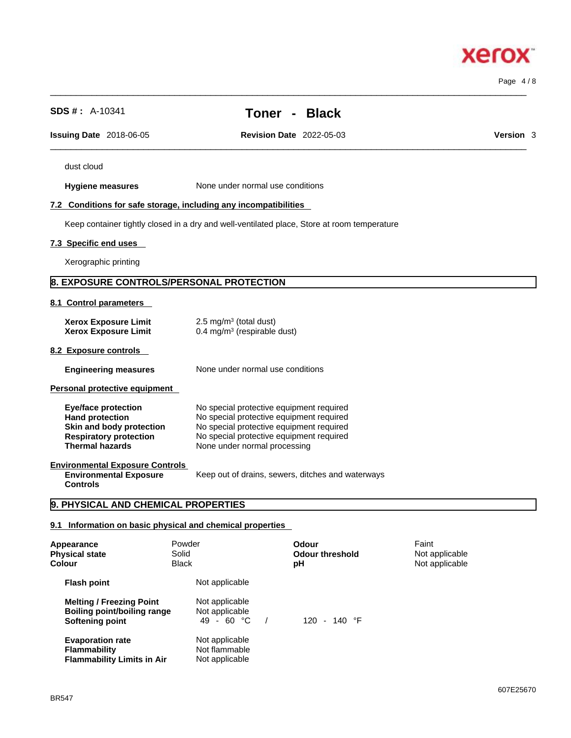| dust cloud                                                                                                                                  |                                                                                                                                                                                                              |                                              |                                           |
|---------------------------------------------------------------------------------------------------------------------------------------------|--------------------------------------------------------------------------------------------------------------------------------------------------------------------------------------------------------------|----------------------------------------------|-------------------------------------------|
| <b>Hygiene measures</b>                                                                                                                     | None under normal use conditions                                                                                                                                                                             |                                              |                                           |
|                                                                                                                                             | 7.2 Conditions for safe storage, including any incompatibilities                                                                                                                                             |                                              |                                           |
|                                                                                                                                             | Keep container tightly closed in a dry and well-ventilated place, Store at room temperature                                                                                                                  |                                              |                                           |
| 7.3 Specific end uses                                                                                                                       |                                                                                                                                                                                                              |                                              |                                           |
| Xerographic printing                                                                                                                        |                                                                                                                                                                                                              |                                              |                                           |
|                                                                                                                                             | <b>8. EXPOSURE CONTROLS/PERSONAL PROTECTION</b>                                                                                                                                                              |                                              |                                           |
| 8.1 Control parameters                                                                                                                      |                                                                                                                                                                                                              |                                              |                                           |
| <b>Xerox Exposure Limit</b><br><b>Xerox Exposure Limit</b>                                                                                  | 2.5 mg/m $3$ (total dust)<br>0.4 mg/m <sup>3</sup> (respirable dust)                                                                                                                                         |                                              |                                           |
| 8.2 Exposure controls                                                                                                                       |                                                                                                                                                                                                              |                                              |                                           |
| <b>Engineering measures</b>                                                                                                                 | None under normal use conditions                                                                                                                                                                             |                                              |                                           |
| Personal protective equipment                                                                                                               |                                                                                                                                                                                                              |                                              |                                           |
| <b>Eye/face protection</b><br><b>Hand protection</b><br>Skin and body protection<br><b>Respiratory protection</b><br><b>Thermal hazards</b> | No special protective equipment required<br>No special protective equipment required<br>No special protective equipment required<br>No special protective equipment required<br>None under normal processing |                                              |                                           |
| <b>Environmental Exposure Controls</b><br><b>Environmental Exposure</b><br><b>Controls</b>                                                  | Keep out of drains, sewers, ditches and waterways                                                                                                                                                            |                                              |                                           |
| 9. PHYSICAL AND CHEMICAL PROPERTIES                                                                                                         |                                                                                                                                                                                                              |                                              |                                           |
|                                                                                                                                             | 9.1 Information on basic physical and chemical properties                                                                                                                                                    |                                              |                                           |
| Appearance<br><b>Physical state</b><br>Colour                                                                                               | Powder<br>Solid<br><b>Black</b>                                                                                                                                                                              | <b>Odour</b><br><b>Odour threshold</b><br>pH | Faint<br>Not applicable<br>Not applicable |
| <b>Flash point</b>                                                                                                                          | Not applicable                                                                                                                                                                                               |                                              |                                           |

# **SDS # :** A-10341 **Toner - Black**

 $\_$  ,  $\_$  ,  $\_$  ,  $\_$  ,  $\_$  ,  $\_$  ,  $\_$  ,  $\_$  ,  $\_$  ,  $\_$  ,  $\_$  ,  $\_$  ,  $\_$  ,  $\_$  ,  $\_$  ,  $\_$  ,  $\_$  ,  $\_$  ,  $\_$  ,  $\_$  ,  $\_$  ,  $\_$  ,  $\_$  ,  $\_$  ,  $\_$  ,  $\_$  ,  $\_$  ,  $\_$  ,  $\_$  ,  $\_$  ,  $\_$  ,  $\_$  ,  $\_$  ,  $\_$  ,  $\_$  ,  $\_$  ,  $\_$  ,

**Issuing Date** 2018-06-05 **Revision Date** 2022-05-03 **Version** 3

 $\_$  ,  $\_$  ,  $\_$  ,  $\_$  ,  $\_$  ,  $\_$  ,  $\_$  ,  $\_$  ,  $\_$  ,  $\_$  ,  $\_$  ,  $\_$  ,  $\_$  ,  $\_$  ,  $\_$  ,  $\_$  ,  $\_$  ,  $\_$  ,  $\_$  ,  $\_$  ,  $\_$  ,  $\_$  ,  $\_$  ,  $\_$  ,  $\_$  ,  $\_$  ,  $\_$  ,  $\_$  ,  $\_$  ,  $\_$  ,  $\_$  ,  $\_$  ,  $\_$  ,  $\_$  ,  $\_$  ,  $\_$  ,  $\_$  , Page 4 / 8



**Melting / Freezing Point** Not applicable<br> **Boiling point/boiling range** Not applicable **Boiling point/boiling range** Not applicable<br> **Softening point** 49 - 60 °C /

**Evaporation rate**<br> **Flammability CONS** Not flammable **Flammability**<br>**Flammability Limits in Air** Not applicable

**Flammability Limits in Air** 

**Softening point 49 - 60 °C** / 120 - 140 °F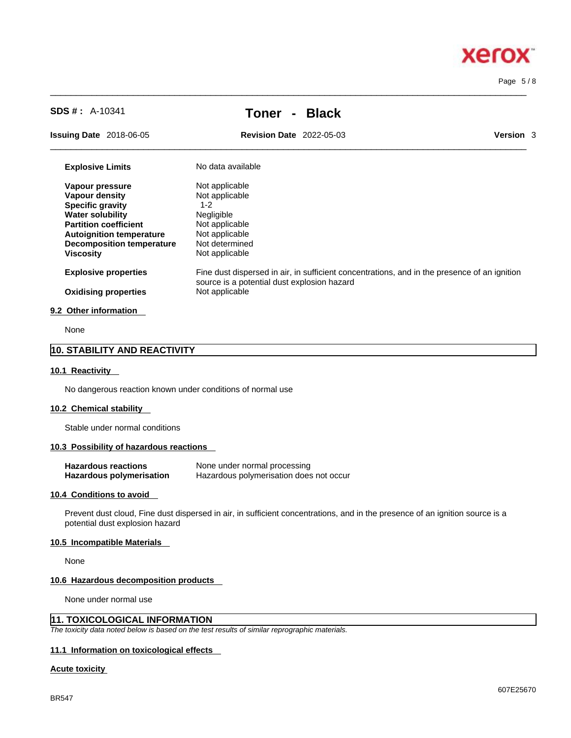# xerox

Page 5 / 8

**SDS # :** A-10341 **Toner - Black**

 $\_$  ,  $\_$  ,  $\_$  ,  $\_$  ,  $\_$  ,  $\_$  ,  $\_$  ,  $\_$  ,  $\_$  ,  $\_$  ,  $\_$  ,  $\_$  ,  $\_$  ,  $\_$  ,  $\_$  ,  $\_$  ,  $\_$  ,  $\_$  ,  $\_$  ,  $\_$  ,  $\_$  ,  $\_$  ,  $\_$  ,  $\_$  ,  $\_$  ,  $\_$  ,  $\_$  ,  $\_$  ,  $\_$  ,  $\_$  ,  $\_$  ,  $\_$  ,  $\_$  ,  $\_$  ,  $\_$  ,  $\_$  ,  $\_$  ,

**Issuing Date** 2018-06-05 **Revision Date** 2022-05-03 **Version** 3

 $\_$  ,  $\_$  ,  $\_$  ,  $\_$  ,  $\_$  ,  $\_$  ,  $\_$  ,  $\_$  ,  $\_$  ,  $\_$  ,  $\_$  ,  $\_$  ,  $\_$  ,  $\_$  ,  $\_$  ,  $\_$  ,  $\_$  ,  $\_$  ,  $\_$  ,  $\_$  ,  $\_$  ,  $\_$  ,  $\_$  ,  $\_$  ,  $\_$  ,  $\_$  ,  $\_$  ,  $\_$  ,  $\_$  ,  $\_$  ,  $\_$  ,  $\_$  ,  $\_$  ,  $\_$  ,  $\_$  ,  $\_$  ,  $\_$  ,

| <b>Explosive Limits</b>         | No data available                                                                                                                           |
|---------------------------------|---------------------------------------------------------------------------------------------------------------------------------------------|
| Vapour pressure                 | Not applicable                                                                                                                              |
| Vapour density                  | Not applicable                                                                                                                              |
| <b>Specific gravity</b>         | $1 - 2$                                                                                                                                     |
| <b>Water solubility</b>         | <b>Negligible</b>                                                                                                                           |
| <b>Partition coefficient</b>    | Not applicable                                                                                                                              |
| <b>Autoignition temperature</b> | Not applicable                                                                                                                              |
| Decomposition temperature       | Not determined                                                                                                                              |
| <b>Viscosity</b>                | Not applicable                                                                                                                              |
| <b>Explosive properties</b>     | Fine dust dispersed in air, in sufficient concentrations, and in the presence of an ignition<br>source is a potential dust explosion hazard |
| <b>Oxidising properties</b>     | Not applicable                                                                                                                              |
| 9.2 Other information           |                                                                                                                                             |
| $\mathbf{r}$                    |                                                                                                                                             |

None

# **10. STABILITY AND REACTIVITY**

#### **10.1 Reactivity**

No dangerous reaction known under conditions of normal use

#### **10.2 Chemical stability**

Stable under normal conditions

#### **10.3 Possibility of hazardous reactions**

| <b>Hazardous reactions</b>      | None under normal processing            |
|---------------------------------|-----------------------------------------|
| <b>Hazardous polymerisation</b> | Hazardous polymerisation does not occur |

#### **10.4 Conditions to avoid**

Prevent dust cloud, Fine dust dispersed in air, in sufficient concentrations, and in the presence of an ignition source is a potential dust explosion hazard

# **10.5 Incompatible Materials**

None

#### **10.6 Hazardous decomposition products**

None under normal use

# **11. TOXICOLOGICAL INFORMATION**

*The toxicity data noted below is based on the test results of similar reprographic materials.* 

# **11.1 Information on toxicological effects**

#### **Acute toxicity**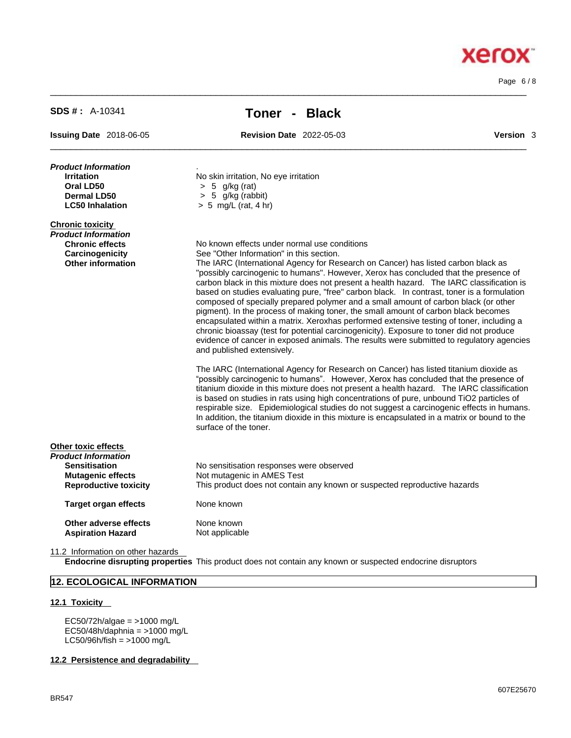Page 6 / 8

**Xerox** 

| <b>SDS #: A-10341</b>                                                                                                          | Toner -                                                                                                                | <b>Black</b>                                                                                                                                                                                                                                                                                                                                                                                                                                                                                                                                                                                                                                                                                                                                                                                                                          |                  |
|--------------------------------------------------------------------------------------------------------------------------------|------------------------------------------------------------------------------------------------------------------------|---------------------------------------------------------------------------------------------------------------------------------------------------------------------------------------------------------------------------------------------------------------------------------------------------------------------------------------------------------------------------------------------------------------------------------------------------------------------------------------------------------------------------------------------------------------------------------------------------------------------------------------------------------------------------------------------------------------------------------------------------------------------------------------------------------------------------------------|------------------|
| <b>Issuing Date</b> 2018-06-05                                                                                                 | <b>Revision Date</b> 2022-05-03                                                                                        |                                                                                                                                                                                                                                                                                                                                                                                                                                                                                                                                                                                                                                                                                                                                                                                                                                       | <b>Version</b> 3 |
| Product Information<br><b>Irritation</b><br>Oral LD50<br><b>Dermal LD50</b><br><b>LC50 Inhalation</b>                          | No skin irritation, No eye irritation<br>$> 5$ g/kg (rat)<br>$> 5$ g/kg (rabbit)<br>$> 5$ mg/L (rat, 4 hr)             |                                                                                                                                                                                                                                                                                                                                                                                                                                                                                                                                                                                                                                                                                                                                                                                                                                       |                  |
| <b>Chronic toxicity</b><br><b>Product Information</b><br><b>Chronic effects</b><br>Carcinogenicity<br><b>Other information</b> | No known effects under normal use conditions<br>See "Other Information" in this section.<br>and published extensively. | The IARC (International Agency for Research on Cancer) has listed carbon black as<br>"possibly carcinogenic to humans". However, Xerox has concluded that the presence of<br>carbon black in this mixture does not present a health hazard. The IARC classification is<br>based on studies evaluating pure, "free" carbon black. In contrast, toner is a formulation<br>composed of specially prepared polymer and a small amount of carbon black (or other<br>pigment). In the process of making toner, the small amount of carbon black becomes<br>encapsulated within a matrix. Xeroxhas performed extensive testing of toner, including a<br>chronic bioassay (test for potential carcinogenicity). Exposure to toner did not produce<br>evidence of cancer in exposed animals. The results were submitted to regulatory agencies |                  |
|                                                                                                                                | surface of the toner.                                                                                                  | The IARC (International Agency for Research on Cancer) has listed titanium dioxide as<br>"possibly carcinogenic to humans". However, Xerox has concluded that the presence of<br>titanium dioxide in this mixture does not present a health hazard. The IARC classification<br>is based on studies in rats using high concentrations of pure, unbound TiO2 particles of<br>respirable size. Epidemiological studies do not suggest a carcinogenic effects in humans.<br>In addition, the titanium dioxide in this mixture is encapsulated in a matrix or bound to the                                                                                                                                                                                                                                                                 |                  |
| Other toxic effects<br>Product Information                                                                                     |                                                                                                                        |                                                                                                                                                                                                                                                                                                                                                                                                                                                                                                                                                                                                                                                                                                                                                                                                                                       |                  |
| <b>Sensitisation</b>                                                                                                           | No sensitisation responses were observed                                                                               |                                                                                                                                                                                                                                                                                                                                                                                                                                                                                                                                                                                                                                                                                                                                                                                                                                       |                  |
| <b>Mutagenic effects</b><br><b>Reproductive toxicity</b>                                                                       | Not mutagenic in AMES Test                                                                                             | This product does not contain any known or suspected reproductive hazards                                                                                                                                                                                                                                                                                                                                                                                                                                                                                                                                                                                                                                                                                                                                                             |                  |
| <b>Target organ effects</b>                                                                                                    | None known                                                                                                             |                                                                                                                                                                                                                                                                                                                                                                                                                                                                                                                                                                                                                                                                                                                                                                                                                                       |                  |
| Other adverse effects                                                                                                          | None known                                                                                                             |                                                                                                                                                                                                                                                                                                                                                                                                                                                                                                                                                                                                                                                                                                                                                                                                                                       |                  |
| <b>Aspiration Hazard</b>                                                                                                       | Not applicable                                                                                                         |                                                                                                                                                                                                                                                                                                                                                                                                                                                                                                                                                                                                                                                                                                                                                                                                                                       |                  |

 $\_$  ,  $\_$  ,  $\_$  ,  $\_$  ,  $\_$  ,  $\_$  ,  $\_$  ,  $\_$  ,  $\_$  ,  $\_$  ,  $\_$  ,  $\_$  ,  $\_$  ,  $\_$  ,  $\_$  ,  $\_$  ,  $\_$  ,  $\_$  ,  $\_$  ,  $\_$  ,  $\_$  ,  $\_$  ,  $\_$  ,  $\_$  ,  $\_$  ,  $\_$  ,  $\_$  ,  $\_$  ,  $\_$  ,  $\_$  ,  $\_$  ,  $\_$  ,  $\_$  ,  $\_$  ,  $\_$  ,  $\_$  ,  $\_$  ,

11.2 Information on other hazards

**Endocrine disrupting properties** This product does not contain any known or suspected endocrine disruptors

# **12. ECOLOGICAL INFORMATION**

# **12.1 Toxicity**

EC50/72h/algae = >1000 mg/L  $EC50/48h/daphnia =  $>1000 \text{ mg/L}$$  $LC50/96h/fish = >1000 mg/L$ 

# **12.2 Persistence and degradability**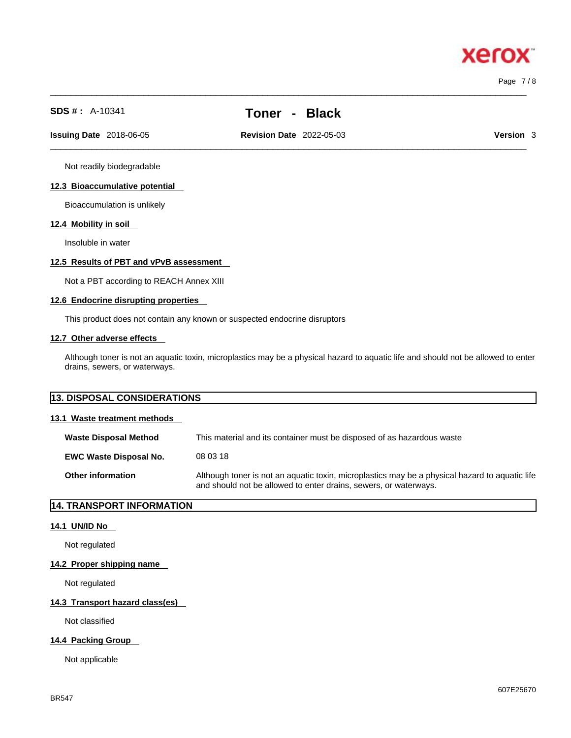$\_$  ,  $\_$  ,  $\_$  ,  $\_$  ,  $\_$  ,  $\_$  ,  $\_$  ,  $\_$  ,  $\_$  ,  $\_$  ,  $\_$  ,  $\_$  ,  $\_$  ,  $\_$  ,  $\_$  ,  $\_$  ,  $\_$  ,  $\_$  ,  $\_$  ,  $\_$  ,  $\_$  ,  $\_$  ,  $\_$  ,  $\_$  ,  $\_$  ,  $\_$  ,  $\_$  ,  $\_$  ,  $\_$  ,  $\_$  ,  $\_$  ,  $\_$  ,  $\_$  ,  $\_$  ,  $\_$  ,  $\_$  ,  $\_$  , Page 7 / 8

xerox

# **SDS # :** A-10341 **Toner - Black**

 $\_$  ,  $\_$  ,  $\_$  ,  $\_$  ,  $\_$  ,  $\_$  ,  $\_$  ,  $\_$  ,  $\_$  ,  $\_$  ,  $\_$  ,  $\_$  ,  $\_$  ,  $\_$  ,  $\_$  ,  $\_$  ,  $\_$  ,  $\_$  ,  $\_$  ,  $\_$  ,  $\_$  ,  $\_$  ,  $\_$  ,  $\_$  ,  $\_$  ,  $\_$  ,  $\_$  ,  $\_$  ,  $\_$  ,  $\_$  ,  $\_$  ,  $\_$  ,  $\_$  ,  $\_$  ,  $\_$  ,  $\_$  ,  $\_$  , **Issuing Date** 2018-06-05 **Revision Date** 2022-05-03 **Version** 3

Not readily biodegradable

# **12.3 Bioaccumulative potential**

Bioaccumulation is unlikely

#### **12.4 Mobility in soil**

Insoluble in water

# **12.5 Results of PBT and vPvB assessment**

Not a PBT according to REACH Annex XIII

# **12.6 Endocrine disrupting properties**

This product does not contain any known or suspected endocrine disruptors

# **12.7 Other adverse effects**

Although toner is not an aquatic toxin, microplastics may be a physical hazard to aquatic life and should not be allowed to enter drains, sewers, or waterways.

| <b>13. DISPOSAL CONSIDERATIONS</b> |                                                                                                                                                                    |
|------------------------------------|--------------------------------------------------------------------------------------------------------------------------------------------------------------------|
| 13.1 Waste treatment methods       |                                                                                                                                                                    |
| <b>Waste Disposal Method</b>       | This material and its container must be disposed of as hazardous waste                                                                                             |
| <b>EWC Waste Disposal No.</b>      | 08 03 18                                                                                                                                                           |
| <b>Other information</b>           | Although toner is not an aquatic toxin, microplastics may be a physical hazard to aquatic life<br>and should not be allowed to enter drains, sewers, or waterways. |

# **14. TRANSPORT INFORMATION**

# **14.1 UN/ID No**

Not regulated

# **14.2 Proper shipping name**

Not regulated

# **14.3 Transport hazard class(es)**

Not classified

# **14.4 Packing Group**

Not applicable